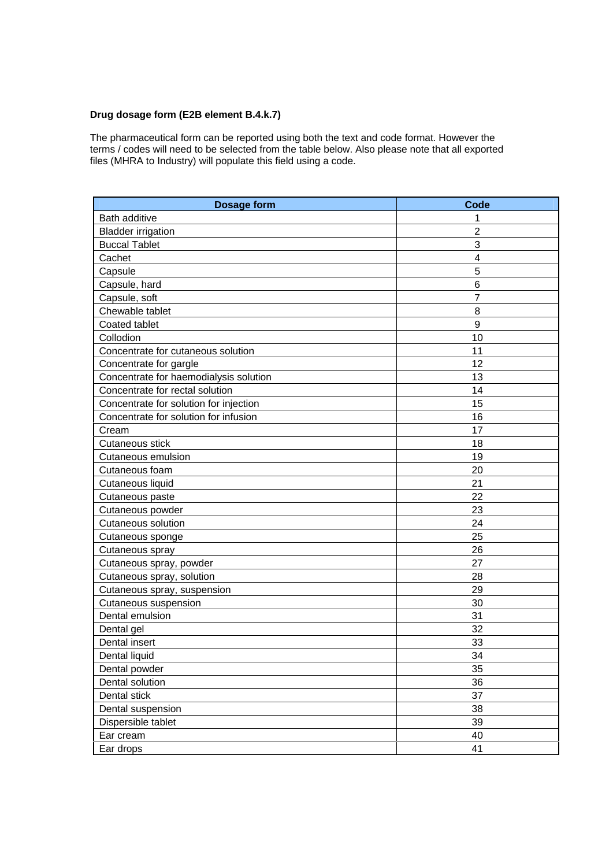## **Drug dosage form (E2B element B.4.k.7)**

The pharmaceutical form can be reported using both the text and code format. However the terms / codes will need to be selected from the table below. Also please note that all exported files (MHRA to Industry) will populate this field using a code.

| <b>Dosage form</b>                     | <b>Code</b>    |
|----------------------------------------|----------------|
| <b>Bath additive</b>                   | 1              |
| <b>Bladder irrigation</b>              | $\overline{2}$ |
| <b>Buccal Tablet</b>                   | 3              |
| Cachet                                 | 4              |
| Capsule                                | 5              |
| Capsule, hard                          | $6\phantom{1}$ |
| Capsule, soft                          | $\overline{7}$ |
| Chewable tablet                        | 8              |
| Coated tablet                          | 9              |
| Collodion                              | 10             |
| Concentrate for cutaneous solution     | 11             |
| Concentrate for gargle                 | 12             |
| Concentrate for haemodialysis solution | 13             |
| Concentrate for rectal solution        | 14             |
| Concentrate for solution for injection | 15             |
| Concentrate for solution for infusion  | 16             |
| Cream                                  | 17             |
| Cutaneous stick                        | 18             |
| <b>Cutaneous emulsion</b>              | 19             |
| Cutaneous foam                         | 20             |
| Cutaneous liquid                       | 21             |
| Cutaneous paste                        | 22             |
| Cutaneous powder                       | 23             |
| <b>Cutaneous solution</b>              | 24             |
| Cutaneous sponge                       | 25             |
| Cutaneous spray                        | 26             |
| Cutaneous spray, powder                | 27             |
| Cutaneous spray, solution              | 28             |
| Cutaneous spray, suspension            | 29             |
| Cutaneous suspension                   | 30             |
| Dental emulsion                        | 31             |
| Dental gel                             | 32             |
| Dental insert                          | 33             |
| Dental liquid                          | 34             |
| Dental powder                          | 35             |
| Dental solution                        | 36             |
| Dental stick                           | 37             |
| Dental suspension                      | 38             |
| Dispersible tablet                     | 39             |
| Ear cream                              | 40             |
| Ear drops                              | 41             |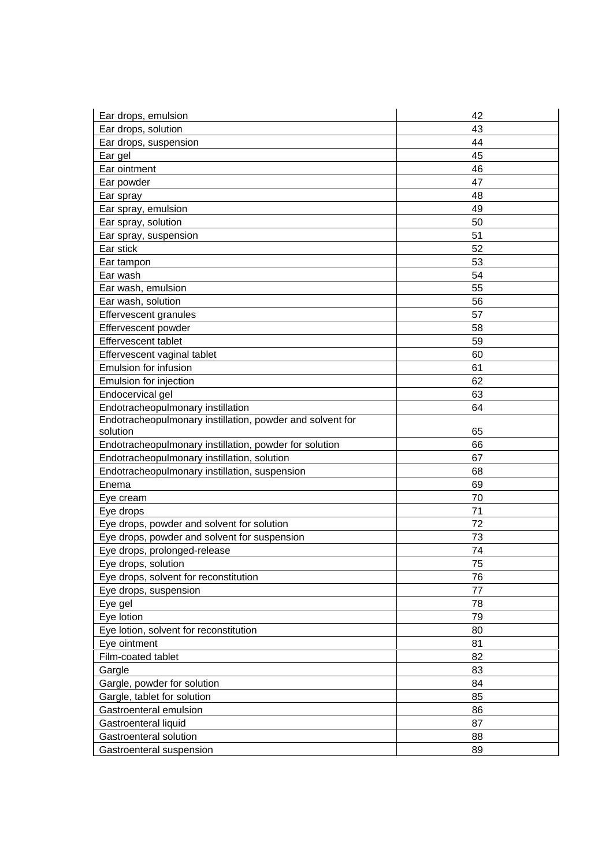| Ear drops, emulsion                                       | 42 |
|-----------------------------------------------------------|----|
| Ear drops, solution                                       | 43 |
| Ear drops, suspension                                     | 44 |
| Ear gel                                                   | 45 |
| Ear ointment                                              | 46 |
| Ear powder                                                | 47 |
| Ear spray                                                 | 48 |
| Ear spray, emulsion                                       | 49 |
| Ear spray, solution                                       | 50 |
| Ear spray, suspension                                     | 51 |
| Ear stick                                                 | 52 |
| Ear tampon                                                | 53 |
| Ear wash                                                  | 54 |
| Ear wash, emulsion                                        | 55 |
| Ear wash, solution                                        | 56 |
| <b>Effervescent granules</b>                              | 57 |
| Effervescent powder                                       | 58 |
| <b>Effervescent tablet</b>                                | 59 |
| Effervescent vaginal tablet                               | 60 |
| Emulsion for infusion                                     | 61 |
| Emulsion for injection                                    | 62 |
| Endocervical gel                                          | 63 |
| Endotracheopulmonary instillation                         | 64 |
| Endotracheopulmonary instillation, powder and solvent for |    |
| solution                                                  | 65 |
| Endotracheopulmonary instillation, powder for solution    | 66 |
| Endotracheopulmonary instillation, solution               | 67 |
| Endotracheopulmonary instillation, suspension             | 68 |
| Enema                                                     | 69 |
| Eye cream                                                 | 70 |
| Eye drops                                                 | 71 |
| Eye drops, powder and solvent for solution                | 72 |
| Eye drops, powder and solvent for suspension              | 73 |
| Eye drops, prolonged-release                              | 74 |
| Eye drops, solution                                       | 75 |
| Eye drops, solvent for reconstitution                     | 76 |
| Eye drops, suspension                                     | 77 |
| Eye gel                                                   | 78 |
| Eye lotion                                                | 79 |
| Eye lotion, solvent for reconstitution                    | 80 |
| Eye ointment                                              | 81 |
| Film-coated tablet                                        | 82 |
| Gargle                                                    | 83 |
| Gargle, powder for solution                               | 84 |
| Gargle, tablet for solution                               | 85 |
| Gastroenteral emulsion                                    | 86 |
| Gastroenteral liquid                                      | 87 |
| Gastroenteral solution                                    | 88 |
| Gastroenteral suspension                                  | 89 |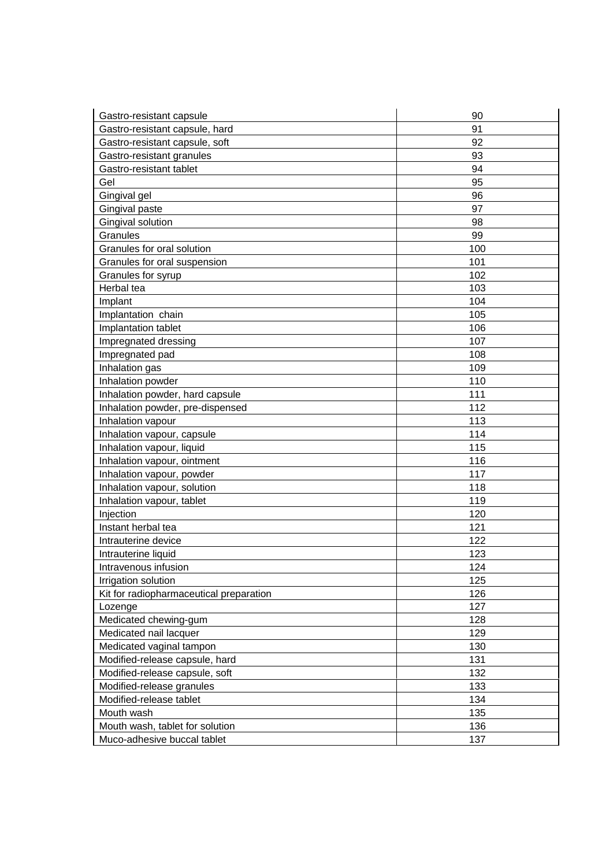| Gastro-resistant capsule                | 90  |
|-----------------------------------------|-----|
| Gastro-resistant capsule, hard          | 91  |
| Gastro-resistant capsule, soft          | 92  |
| Gastro-resistant granules               | 93  |
| Gastro-resistant tablet                 | 94  |
| Gel                                     | 95  |
| Gingival gel                            | 96  |
| Gingival paste                          | 97  |
| Gingival solution                       | 98  |
| Granules                                | 99  |
| Granules for oral solution              | 100 |
| Granules for oral suspension            | 101 |
| Granules for syrup                      | 102 |
| Herbal tea                              | 103 |
| Implant                                 | 104 |
| Implantation chain                      | 105 |
| Implantation tablet                     | 106 |
| Impregnated dressing                    | 107 |
| Impregnated pad                         | 108 |
| Inhalation gas                          | 109 |
| Inhalation powder                       | 110 |
| Inhalation powder, hard capsule         | 111 |
| Inhalation powder, pre-dispensed        | 112 |
| Inhalation vapour                       | 113 |
| Inhalation vapour, capsule              | 114 |
| Inhalation vapour, liquid               | 115 |
| Inhalation vapour, ointment             | 116 |
| Inhalation vapour, powder               | 117 |
| Inhalation vapour, solution             | 118 |
| Inhalation vapour, tablet               | 119 |
| Injection                               | 120 |
| Instant herbal tea                      | 121 |
| Intrauterine device                     | 122 |
| Intrauterine liquid                     | 123 |
| Intravenous infusion                    | 124 |
| Irrigation solution                     | 125 |
| Kit for radiopharmaceutical preparation | 126 |
| Lozenge                                 | 127 |
| Medicated chewing-gum                   | 128 |
| Medicated nail lacquer                  | 129 |
| Medicated vaginal tampon                | 130 |
| Modified-release capsule, hard          | 131 |
| Modified-release capsule, soft          | 132 |
| Modified-release granules               | 133 |
| Modified-release tablet                 | 134 |
| Mouth wash                              | 135 |
| Mouth wash, tablet for solution         | 136 |
| Muco-adhesive buccal tablet             | 137 |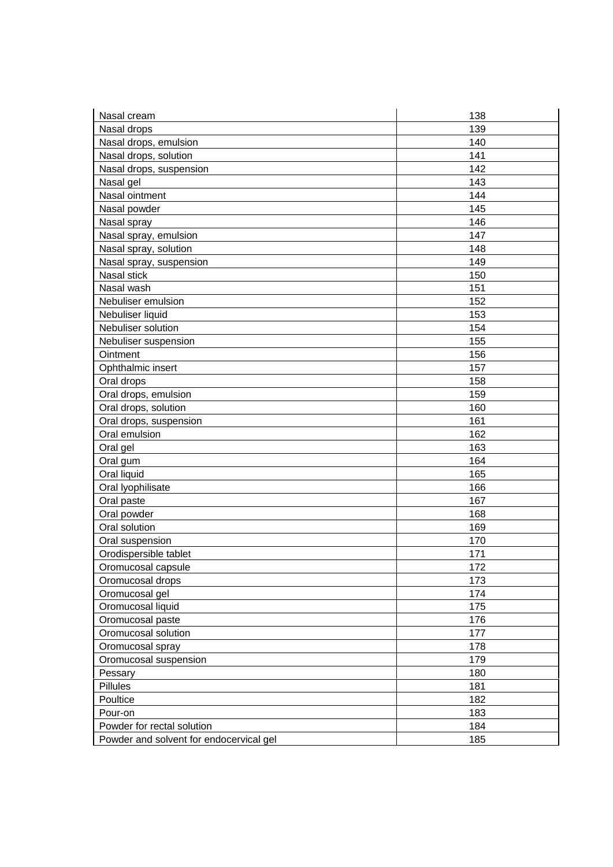| Nasal cream                             | 138 |
|-----------------------------------------|-----|
| Nasal drops                             | 139 |
| Nasal drops, emulsion                   | 140 |
| Nasal drops, solution                   | 141 |
| Nasal drops, suspension                 | 142 |
| Nasal gel                               | 143 |
| Nasal ointment                          | 144 |
| Nasal powder                            | 145 |
| Nasal spray                             | 146 |
| Nasal spray, emulsion                   | 147 |
| Nasal spray, solution                   | 148 |
| Nasal spray, suspension                 | 149 |
| Nasal stick                             | 150 |
| Nasal wash                              | 151 |
| Nebuliser emulsion                      | 152 |
| Nebuliser liquid                        | 153 |
| Nebuliser solution                      | 154 |
| Nebuliser suspension                    | 155 |
| Ointment                                | 156 |
| Ophthalmic insert                       | 157 |
| Oral drops                              | 158 |
| Oral drops, emulsion                    | 159 |
| Oral drops, solution                    | 160 |
| Oral drops, suspension                  | 161 |
| Oral emulsion                           | 162 |
| Oral gel                                | 163 |
| Oral gum                                | 164 |
| Oral liquid                             | 165 |
| Oral lyophilisate                       | 166 |
| Oral paste                              | 167 |
| Oral powder                             | 168 |
| Oral solution                           | 169 |
| Oral suspension                         | 170 |
| Orodispersible tablet                   | 171 |
| Oromucosal capsule                      | 172 |
| Oromucosal drops                        | 173 |
| Oromucosal gel                          | 174 |
| Oromucosal liquid                       | 175 |
| Oromucosal paste                        | 176 |
| Oromucosal solution                     | 177 |
| Oromucosal spray                        | 178 |
| Oromucosal suspension                   | 179 |
| Pessary                                 | 180 |
| Pillules                                | 181 |
| Poultice                                | 182 |
| Pour-on                                 | 183 |
| Powder for rectal solution              | 184 |
| Powder and solvent for endocervical gel | 185 |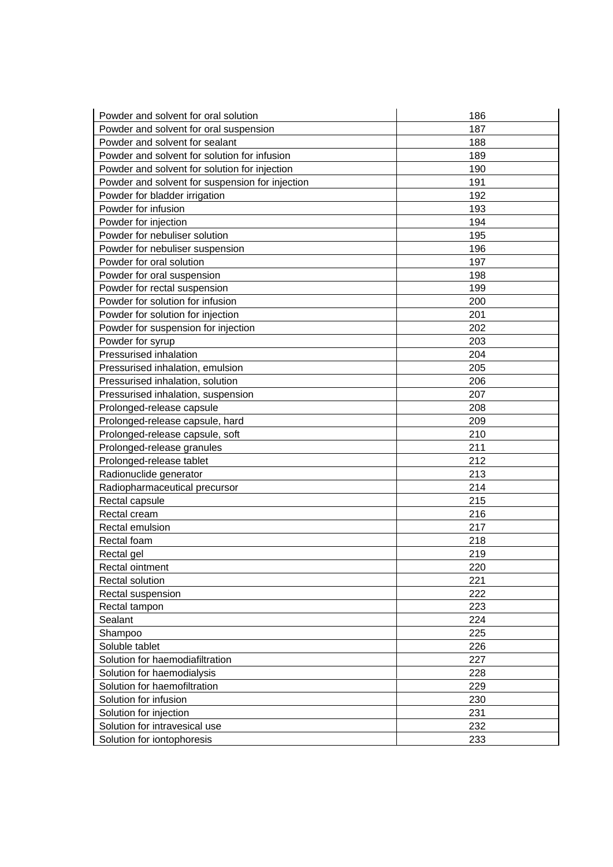| Powder and solvent for oral solution            | 186 |
|-------------------------------------------------|-----|
| Powder and solvent for oral suspension          | 187 |
| Powder and solvent for sealant                  | 188 |
| Powder and solvent for solution for infusion    | 189 |
| Powder and solvent for solution for injection   | 190 |
| Powder and solvent for suspension for injection | 191 |
| Powder for bladder irrigation                   | 192 |
| Powder for infusion                             | 193 |
| Powder for injection                            | 194 |
| Powder for nebuliser solution                   | 195 |
| Powder for nebuliser suspension                 | 196 |
| Powder for oral solution                        | 197 |
| Powder for oral suspension                      | 198 |
| Powder for rectal suspension                    | 199 |
| Powder for solution for infusion                | 200 |
| Powder for solution for injection               | 201 |
| Powder for suspension for injection             | 202 |
| Powder for syrup                                | 203 |
| Pressurised inhalation                          | 204 |
| Pressurised inhalation, emulsion                | 205 |
| Pressurised inhalation, solution                | 206 |
| Pressurised inhalation, suspension              | 207 |
| Prolonged-release capsule                       | 208 |
| Prolonged-release capsule, hard                 | 209 |
| Prolonged-release capsule, soft                 | 210 |
| Prolonged-release granules                      | 211 |
| Prolonged-release tablet                        | 212 |
| Radionuclide generator                          | 213 |
| Radiopharmaceutical precursor                   | 214 |
| Rectal capsule                                  | 215 |
| Rectal cream                                    | 216 |
| Rectal emulsion                                 | 217 |
| Rectal foam                                     | 218 |
| Rectal gel                                      | 219 |
| Rectal ointment                                 | 220 |
| Rectal solution                                 | 221 |
| Rectal suspension                               | 222 |
| Rectal tampon                                   | 223 |
| Sealant                                         | 224 |
| Shampoo                                         | 225 |
| Soluble tablet                                  | 226 |
| Solution for haemodiafiltration                 | 227 |
| Solution for haemodialysis                      | 228 |
| Solution for haemofiltration                    | 229 |
| Solution for infusion                           | 230 |
| Solution for injection                          | 231 |
| Solution for intravesical use                   | 232 |
| Solution for iontophoresis                      | 233 |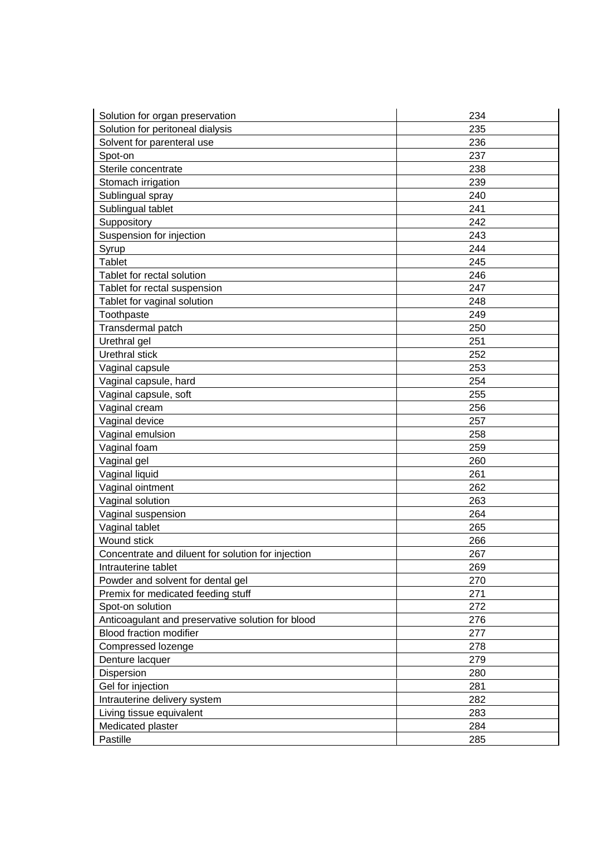| Solution for organ preservation                    | 234 |
|----------------------------------------------------|-----|
| Solution for peritoneal dialysis                   | 235 |
| Solvent for parenteral use                         | 236 |
| Spot-on                                            | 237 |
| Sterile concentrate                                | 238 |
| Stomach irrigation                                 | 239 |
| Sublingual spray                                   | 240 |
| Sublingual tablet                                  | 241 |
| Suppository                                        | 242 |
| Suspension for injection                           | 243 |
| Syrup                                              | 244 |
| <b>Tablet</b>                                      | 245 |
| Tablet for rectal solution                         | 246 |
| Tablet for rectal suspension                       | 247 |
| Tablet for vaginal solution                        | 248 |
| Toothpaste                                         | 249 |
| Transdermal patch                                  | 250 |
| Urethral gel                                       | 251 |
| Urethral stick                                     | 252 |
| Vaginal capsule                                    | 253 |
| Vaginal capsule, hard                              | 254 |
| Vaginal capsule, soft                              | 255 |
| Vaginal cream                                      | 256 |
| Vaginal device                                     | 257 |
| Vaginal emulsion                                   | 258 |
| Vaginal foam                                       | 259 |
| Vaginal gel                                        | 260 |
| Vaginal liquid                                     | 261 |
| Vaginal ointment                                   | 262 |
| Vaginal solution                                   | 263 |
| Vaginal suspension                                 | 264 |
| Vaginal tablet                                     | 265 |
| Wound stick                                        | 266 |
| Concentrate and diluent for solution for injection | 267 |
| Intrauterine tablet                                | 269 |
| Powder and solvent for dental gel                  | 270 |
| Premix for medicated feeding stuff                 | 271 |
| Spot-on solution                                   | 272 |
| Anticoagulant and preservative solution for blood  | 276 |
| <b>Blood fraction modifier</b>                     | 277 |
| Compressed lozenge                                 | 278 |
| Denture lacquer                                    | 279 |
| Dispersion                                         | 280 |
| Gel for injection                                  | 281 |
| Intrauterine delivery system                       | 282 |
| Living tissue equivalent                           | 283 |
| Medicated plaster                                  | 284 |
| Pastille                                           | 285 |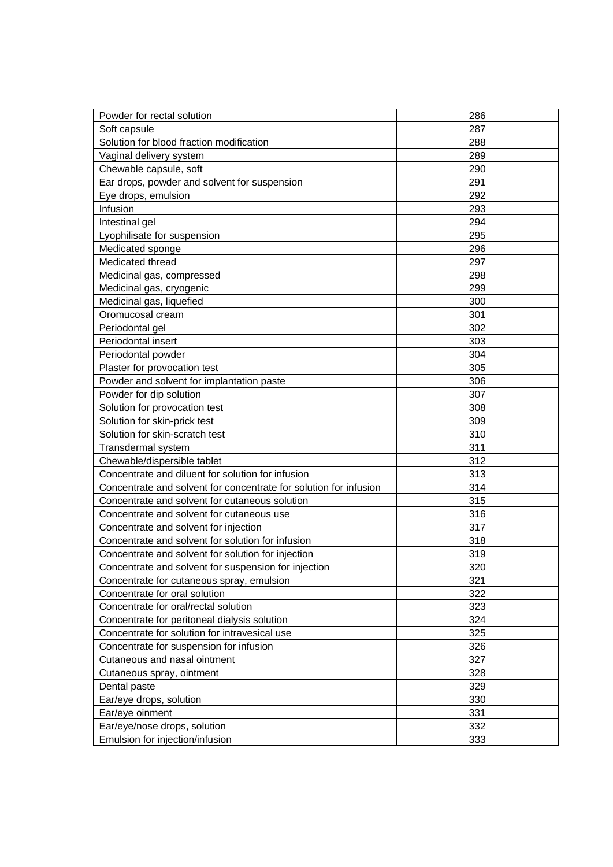| Powder for rectal solution                                        | 286 |
|-------------------------------------------------------------------|-----|
| Soft capsule                                                      | 287 |
| Solution for blood fraction modification                          | 288 |
| Vaginal delivery system                                           | 289 |
| Chewable capsule, soft                                            | 290 |
| Ear drops, powder and solvent for suspension                      | 291 |
| Eye drops, emulsion                                               | 292 |
| Infusion                                                          | 293 |
| Intestinal gel                                                    | 294 |
| Lyophilisate for suspension                                       | 295 |
| Medicated sponge                                                  | 296 |
| Medicated thread                                                  | 297 |
| Medicinal gas, compressed                                         | 298 |
| Medicinal gas, cryogenic                                          | 299 |
| Medicinal gas, liquefied                                          | 300 |
| Oromucosal cream                                                  | 301 |
| Periodontal gel                                                   | 302 |
| Periodontal insert                                                | 303 |
| Periodontal powder                                                | 304 |
| Plaster for provocation test                                      | 305 |
| Powder and solvent for implantation paste                         | 306 |
| Powder for dip solution                                           | 307 |
| Solution for provocation test                                     | 308 |
| Solution for skin-prick test                                      | 309 |
| Solution for skin-scratch test                                    | 310 |
| Transdermal system                                                | 311 |
| Chewable/dispersible tablet                                       | 312 |
| Concentrate and diluent for solution for infusion                 | 313 |
| Concentrate and solvent for concentrate for solution for infusion | 314 |
| Concentrate and solvent for cutaneous solution                    | 315 |
| Concentrate and solvent for cutaneous use                         | 316 |
| Concentrate and solvent for injection                             | 317 |
| Concentrate and solvent for solution for infusion                 | 318 |
| Concentrate and solvent for solution for injection                | 319 |
| Concentrate and solvent for suspension for injection              | 320 |
| Concentrate for cutaneous spray, emulsion                         | 321 |
| Concentrate for oral solution                                     | 322 |
| Concentrate for oral/rectal solution                              | 323 |
| Concentrate for peritoneal dialysis solution                      | 324 |
| Concentrate for solution for intravesical use                     | 325 |
| Concentrate for suspension for infusion                           | 326 |
| Cutaneous and nasal ointment                                      | 327 |
| Cutaneous spray, ointment                                         | 328 |
| Dental paste                                                      | 329 |
| Ear/eye drops, solution                                           | 330 |
| Ear/eye oinment                                                   | 331 |
| Ear/eye/nose drops, solution                                      | 332 |
| Emulsion for injection/infusion                                   | 333 |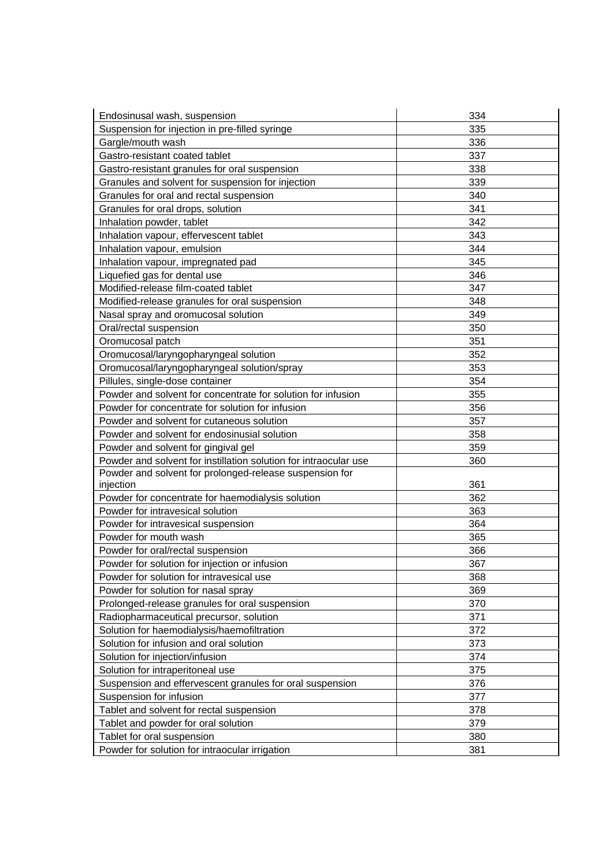| Endosinusal wash, suspension                                     | 334 |
|------------------------------------------------------------------|-----|
| Suspension for injection in pre-filled syringe                   | 335 |
| Gargle/mouth wash                                                | 336 |
| Gastro-resistant coated tablet                                   | 337 |
| Gastro-resistant granules for oral suspension                    | 338 |
| Granules and solvent for suspension for injection                | 339 |
| Granules for oral and rectal suspension                          | 340 |
| Granules for oral drops, solution                                | 341 |
| Inhalation powder, tablet                                        | 342 |
| Inhalation vapour, effervescent tablet                           | 343 |
| Inhalation vapour, emulsion                                      | 344 |
| Inhalation vapour, impregnated pad                               | 345 |
| Liquefied gas for dental use                                     | 346 |
| Modified-release film-coated tablet                              | 347 |
| Modified-release granules for oral suspension                    | 348 |
| Nasal spray and oromucosal solution                              | 349 |
| Oral/rectal suspension                                           | 350 |
| Oromucosal patch                                                 | 351 |
| Oromucosal/laryngopharyngeal solution                            | 352 |
| Oromucosal/laryngopharyngeal solution/spray                      | 353 |
| Pillules, single-dose container                                  | 354 |
| Powder and solvent for concentrate for solution for infusion     | 355 |
| Powder for concentrate for solution for infusion                 | 356 |
| Powder and solvent for cutaneous solution                        | 357 |
| Powder and solvent for endosinusial solution                     | 358 |
| Powder and solvent for gingival gel                              | 359 |
| Powder and solvent for instillation solution for intraocular use | 360 |
| Powder and solvent for prolonged-release suspension for          |     |
| injection                                                        | 361 |
| Powder for concentrate for haemodialysis solution                | 362 |
| Powder for intravesical solution                                 | 363 |
| Powder for intravesical suspension                               | 364 |
| Powder for mouth wash                                            | 365 |
| Powder for oral/rectal suspension                                | 366 |
| Powder for solution for injection or infusion                    | 367 |
| Powder for solution for intravesical use                         | 368 |
| Powder for solution for nasal spray                              | 369 |
| Prolonged-release granules for oral suspension                   | 370 |
| Radiopharmaceutical precursor, solution                          | 371 |
| Solution for haemodialysis/haemofiltration                       | 372 |
| Solution for infusion and oral solution                          | 373 |
| Solution for injection/infusion                                  | 374 |
| Solution for intraperitoneal use                                 | 375 |
| Suspension and effervescent granules for oral suspension         | 376 |
| Suspension for infusion                                          | 377 |
| Tablet and solvent for rectal suspension                         | 378 |
| Tablet and powder for oral solution                              | 379 |
| Tablet for oral suspension                                       | 380 |
| Powder for solution for intraocular irrigation                   | 381 |